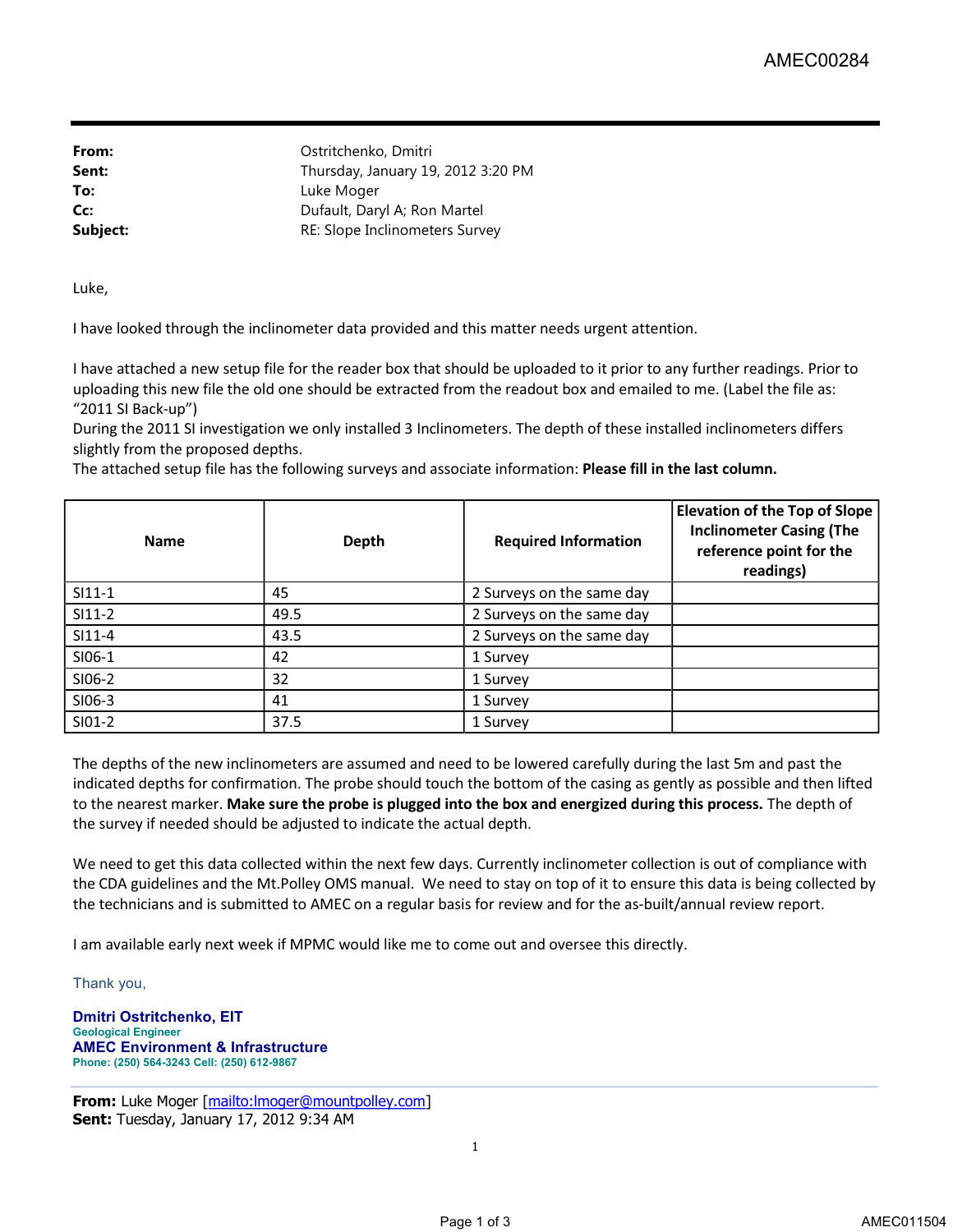**From:** Ostritchenko, Dmitri Sent: Thursday, January 19, 2012 3:20 PM **To:** Luke Moger **Cc:** Dufault, Daryl A; Ron Martel **Subject:** RE: Slope Inclinometers Survey

Luke,

I have looked through the inclinometer data provided and this matter needs urgent attention.

I have attached a new setup file for the reader box that should be uploaded to it prior to any further readings. Prior to uploading this new file the old one should be extracted from the readout box and emailed to me. (Label the file as: "2011 SI Back-up")

During the 2011 SI investigation we only installed 3 Inclinometers. The depth of these installed inclinometers differs slightly from the proposed depths.

The attached setup file has the following surveys and associate information: **Please fill in the last column.**

| <b>Name</b> | Depth | <b>Required Information</b> | <b>Elevation of the Top of Slope</b><br><b>Inclinometer Casing (The</b><br>reference point for the<br>readings) |
|-------------|-------|-----------------------------|-----------------------------------------------------------------------------------------------------------------|
| $SI11-1$    | 45    | 2 Surveys on the same day   |                                                                                                                 |
| $SI11-2$    | 49.5  | 2 Surveys on the same day   |                                                                                                                 |
| $SI11-4$    | 43.5  | 2 Surveys on the same day   |                                                                                                                 |
| SI06-1      | 42    | 1 Survey                    |                                                                                                                 |
| SI06-2      | 32    | 1 Survey                    |                                                                                                                 |
| SI06-3      | 41    | 1 Survey                    |                                                                                                                 |
| SI01-2      | 37.5  | 1 Survey                    |                                                                                                                 |

The depths of the new inclinometers are assumed and need to be lowered carefully during the last 5m and past the indicated depths for confirmation. The probe should touch the bottom of the casing as gently as possible and then lifted to the nearest marker. **Make sure the probe is plugged into the box and energized during this process.** The depth of the survey if needed should be adjusted to indicate the actual depth.

We need to get this data collected within the next few days. Currently inclinometer collection is out of compliance with the CDA guidelines and the Mt.Polley OMS manual. We need to stay on top of it to ensure this data is being collected by the technicians and is submitted to AMEC on a regular basis for review and for the as-built/annual review report.

I am available early next week if MPMC would like me to come out and oversee this directly.

Thank you,

**Dmitri Ostritchenko, EIT Geological Engineer AMEC Environment & Infrastructure Phone: (250) 564-3243 Cell: (250) 612-9867**

**From:** Luke Moger [mailto:lmoger@mountpolley.com] **Sent:** Tuesday, January 17, 2012 9:34 AM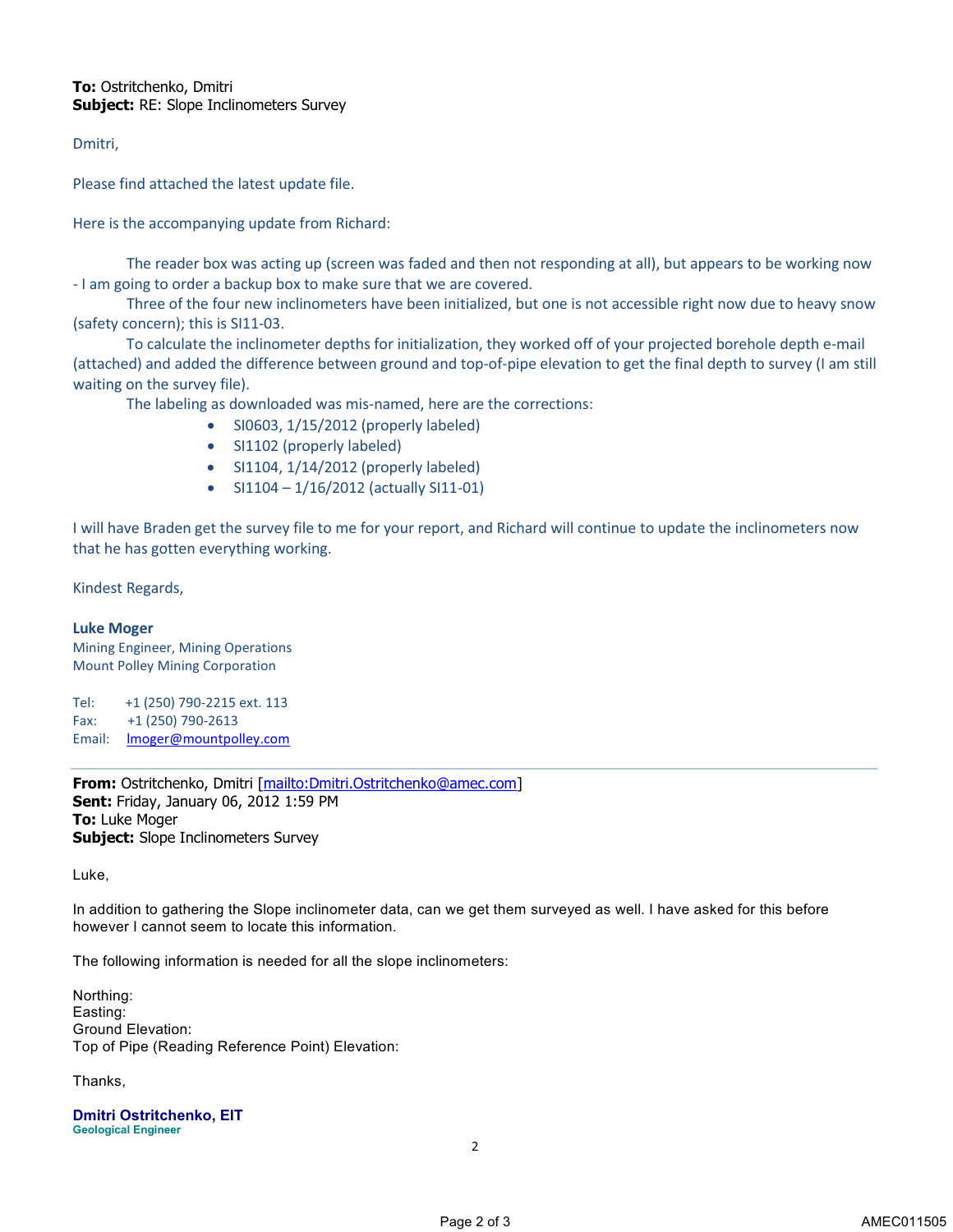## **To:** Ostritchenko, Dmitri **Subject:** RE: Slope Inclinometers Survey

Dmitri,

Please find attached the latest update file.

Here is the accompanying update from Richard:

The reader box was acting up (screen was faded and then not responding at all), but appears to be working now - I am going to order a backup box to make sure that we are covered.

Three of the four new inclinometers have been initialized, but one is not accessible right now due to heavy snow (safety concern); this is SI11-03.

To calculate the inclinometer depths for initialization, they worked off of your projected borehole depth e-mail (attached) and added the difference between ground and top-of-pipe elevation to get the final depth to survey (I am still waiting on the survey file).

The labeling as downloaded was mis-named, here are the corrections:

- SI0603, 1/15/2012 (properly labeled)
- SI1102 (properly labeled)
- SI1104, 1/14/2012 (properly labeled)
- SI1104 1/16/2012 (actually SI11-01)

I will have Braden get the survey file to me for your report, and Richard will continue to update the inclinometers now that he has gotten everything working.

Kindest Regards,

## **Luke Moger**

Mining Engineer, Mining Operations Mount Polley Mining Corporation

Tel: +1 (250) 790-2215 ext. 113 Fax: +1 (250) 790-2613 Email: **Imoger@mountpolley.com** 

**From:** Ostritchenko, Dmitri [mailto:Dmitri.Ostritchenko@amec.com] **Sent:** Friday, January 06, 2012 1:59 PM **To:** Luke Moger **Subject:** Slope Inclinometers Survey

Luke,

In addition to gathering the Slope inclinometer data, can we get them surveyed as well. I have asked for this before however I cannot seem to locate this information.

The following information is needed for all the slope inclinometers:

Northing: Easting: Ground Elevation: Top of Pipe (Reading Reference Point) Elevation:

Thanks,

**Dmitri Ostritchenko, EIT Geological Engineer**

2